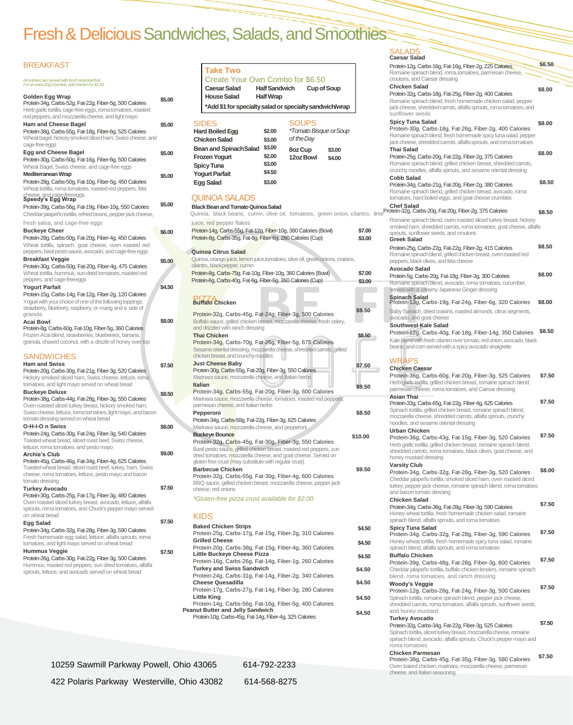# Fresh & Delicious Sandwiches, Salads, and Smoothies

#### **BREAKFAST** *All entrees are served with fresh seasonal fruit. Foran extra20g of protein,addchickenfor \$1.50.* **Golden Egg Wrap** Protein-34g, Carbs-52g, Fat-22g, Fiber-5g, 500 Calories Herb garlic tortilla, cage-free eggs, roma tomatoes, roasted red peppers, and mozzarella cheese, and light mayo **Ham and Cheese Bagel** Protein-38g, Carbs-55g, Fat-18g, Fiber-6g, 525 Calories Wheat bagel, hickory smoked sliced ham, Swiss cheese, and cage-free eggs **Egg and Cheese Bagel** Protein-30g, Carbs-50g, Fat-16g, Fiber-6g, 500 Calories Wheat Bagel, Swiss cheese, and cage-free eggs **Mediterranean Wrap** Protein-28g, Carbs-50g, Fat-10g, Fiber-5g, 450 Calories Wheat tortilla, roma tomatoes, roasted red peppers, feta cheese, and cage-freeeggs **Speedy's Egg Wrap** Protein-39g, Carbs-56g, Fat-19g, Fiber-10g, 550 Calories **\$5.00 BlackBeanandTomatoQuinoaSalad Chef Salad** fresh salsa, and cage-free eggs **Buckeye Cheer** Protein-28g, Carbs-50g, Fat-20g, Fiber-4g, 450 Calories Wheat tortilla, spinach, goat cheese, oven roasted red peppers, basil pesto sauce, avocado, and cage-free eggs **Breakfast Veggie** Protein-30g, Carbs-50g, Fat-20g, Fiber-4g, 475 Calories Wheat tortilla, hummus, sun-dried tomatoes, roasted red peppers, and cage-freeeggs **Yogurt Parfait** Protein-15g, Carbs-14g, Fat-12g, Fiber-2g, 120 Calories Yogurt with your choice of one of the following toppings: strawberry, blueberry, raspberry, or mang and a side of granola **Acai Bowl** Protein-8g, Carbs-60g, Fat-10g, Fiber-5g, 360 Calories Frozen Acai blend, strawberries, blueberries, banana, granola, shaved coconut, with a drizzle of honey over top **SANDWICHES Ham and Swiss** Protein-20g, Carbs-30g, Fat-21g, Fiber-3g, 520 Calories Hickory smoked sliced ham, Swiss cheese, lettuce, roma tomatoes, and light mayo served on wheat bread **Buckeye Deluxe** Protein-38g, Carbs-44g, Fat-28g, Fiber-3g, 550 Calories Oven roasted sliced turkey breast, hickory smoked ham, Swiss cheese, lettuce, roma tomatoes, light mayo, and bacon tomato dressing served on wheat bread **O-H-I-O n Swiss** Protein-24g, Carbs-30g, Fat-24g, Fiber-3g, 540 Calories Toasted wheat bread, sliced roast beef, Swiss cheese, lettuce, roma tomatoes, and pesto mayo **Archie's Club**

| <b>BREAKFAST</b>                                                                                                                                                                |        | <b>Take Two</b>                                                                                               |                      |                                             |                    |         | Protein-12g, Carbs-16g, Fat-16g, Fiber-2g, 225 Calories<br>Romaine spinach blend, roma tomatoes, parmesan cheese,                                    |
|---------------------------------------------------------------------------------------------------------------------------------------------------------------------------------|--------|---------------------------------------------------------------------------------------------------------------|----------------------|---------------------------------------------|--------------------|---------|------------------------------------------------------------------------------------------------------------------------------------------------------|
| All entrees are served with fresh seasonal fruit.<br>For an extra 20g of protein, add chicken for \$1.50.                                                                       |        | Create Your Own Combo for \$6.50<br><b>Caesar Salad</b>                                                       | <b>Half Sandwich</b> |                                             | <b>Cup of Soup</b> |         | croutons, and Caesar dressing<br><b>Chicken Salad</b>                                                                                                |
| Golden Egg Wrap                                                                                                                                                                 |        | <b>House Salad</b>                                                                                            | <b>Half Wrap</b>     |                                             |                    |         | Protein-32g, Carbs-18g, Fat-25g, Fiber-2g, 400 Calories                                                                                              |
| Protein-34g, Carbs-52g, Fat-22g, Fiber-5g, 500 Calories<br>Herb garlic tortilla, cage-free eggs, roma tomatoes, roasted<br>red peppers, and mozzarella cheese, and light mayo   | \$5.00 | *Add \$1 for specialty salad or specialty sandwich/wrap                                                       |                      |                                             |                    |         | Romaine spinach blend, fresh homemade chicken salad, pepper<br>jack cheese, shredded carrots, alfalfa sprouts, roma tomatoes, and<br>sunflower seeds |
| <b>Ham and Cheese Bagel</b>                                                                                                                                                     | \$5.00 | <b>SIDES</b>                                                                                                  |                      | <b>SOUPS</b>                                |                    |         | <b>Spicy Tuna Salad</b><br>Protein-30g, Carbs-18g, Fat-26g, Fiber-2g, 400 Calories                                                                   |
| Protein-38g, Carbs-55g, Fat-18g, Fiber-6g, 525 Calories<br>Wheat bagel, hickory smoked sliced ham, Swiss cheese, and                                                            |        | <b>Hard Boiled Egg</b><br><b>Chicken Salad</b>                                                                | \$2.00<br>\$3.00     | <i>*Tomato Bisque or Soup</i><br>of the Day |                    |         | Romaine spinach blend, fresh homemade spicy tuna salad, pepper<br>jack cheese, shredded carrots, alfalfa sprouts, and roma tomatoes                  |
| cage-free eggs                                                                                                                                                                  |        | <b>Bean and Spinach Salad</b>                                                                                 | \$3.00               | 8oz Cup                                     | \$3.00             |         | <b>Thai Salad</b>                                                                                                                                    |
| <b>Egg and Cheese Bagel</b><br>Protein-30g, Carbs-50g, Fat-16g, Fiber-6g, 500 Calories<br>Wheat Bagel, Swiss cheese, and cage-free eggs                                         | \$5.00 | <b>Frozen Yogurt</b><br><b>Spicy Tuna</b>                                                                     | \$2.00<br>\$3.00     | <b>12oz Bowl</b>                            | \$4.00             |         | Protein-25g, Carbs-20g, Fat-22g, Fiber-2g, 375 Calories<br>Romaine spinach blend, grilled chicken breast, shredded carrots,                          |
| <b>Mediterranean Wrap</b>                                                                                                                                                       | \$5.00 | <b>Yogurt Parfait</b>                                                                                         | \$4.50               |                                             |                    |         | crunchy noodles, alfalfa sprouts, and sesame oriental dressing                                                                                       |
| Protein-28g, Carbs-50g, Fat-10g, Fiber-5g, 450 Calories<br>Wheat tortilla, roma tomatoes, roasted red peppers, feta                                                             |        | <b>Egg Salad</b>                                                                                              | \$3.00               |                                             |                    |         | <b>Cobb Salad</b><br>Protein-34g, Carbs-21g, Fat-20g, Fiber-2g, 380 Calories<br>Romaine spinach blend, grilled chicken breast, avocado, roma         |
| cheese, and cage-freeeggs<br>Speedy's Egg Wrap                                                                                                                                  |        | <b>QUINOA SALADS</b>                                                                                          |                      |                                             |                    |         | tomatoes, hard boiled eggs, and goat cheese crumbles                                                                                                 |
| Protein-39g, Carbs-56g, Fat-19g, Fiber-10g, 550 Calories                                                                                                                        | \$5.00 | <b>Black Bean and Tomato Quinoa Salad</b>                                                                     |                      |                                             |                    |         | <b>Chef Salad</b>                                                                                                                                    |
| Cheddar jalapeño tortilla, refried beans, pepper jack cheese,                                                                                                                   |        |                                                                                                               |                      |                                             |                    |         | Quinoa, black beans, cumin, olive oil, tomatoes, green onion, cilantro, limeProtein-32g, Carbs-20g, Fat-20g, Fiber-2g, 375 Calories                  |
| fresh salsa, and cage-free eggs                                                                                                                                                 |        | juice, red pepper flakes                                                                                      |                      |                                             |                    |         | Romaine spinach blend, oven roasted sliced turkey breast, hickory                                                                                    |
| <b>Buckeye Cheer</b>                                                                                                                                                            | \$6.00 | Protein-14g, Carbs-55g, Fat-12g, Fiber-10g, 380 Calories (Bowl)                                               |                      |                                             |                    | \$7.00  | smoked ham, shredded carrots, roma tomatoes, goat cheese, alfa<br>sprouts, sunflower seeds, and croutons                                             |
| Protein-28g, Carbs-50g, Fat-20g, Fiber-4g, 450 Calories                                                                                                                         |        | Protein-8g, Carbs-35g, Fat-8g, Fiber-6g, 280 Calories (Cup)                                                   |                      |                                             |                    | \$3.00  | <b>Greek Salad</b>                                                                                                                                   |
| Wheat tortilla, spinach, goat cheese, oven roasted red                                                                                                                          |        |                                                                                                               |                      |                                             |                    |         | Protein-25g, Carbs-22g, Fat-22g, Fiber-2g, 415 Calories                                                                                              |
| peppers, basil pesto sauce, avocado, and cage-free eggs<br><b>Breakfast Veggie</b>                                                                                              |        | <b>Quinoa Citrus Salad</b><br>Quinoa, orange juice, lemon juice, tomatoes, olive oil, green onions, craisins, |                      |                                             |                    |         | Romaine spinach blend, grilled chicken breast, oven roasted red                                                                                      |
| Protein-30g, Carbs-50g, Fat-20g, Fiber-4g, 475 Calories                                                                                                                         | \$5.00 | cilantro, blackpepper, cumin                                                                                  |                      |                                             |                    |         | peppers, black olives, and feta cheese                                                                                                               |
| Wheat tortilla, hummus, sun-dried tomatoes, roasted red                                                                                                                         |        | Protein-8g, Carbs-75g, Fat-10g, Fiber-10g, 360 Calories (Bowl)                                                |                      |                                             |                    | \$7.00  | <b>Avocado Salad</b><br>Protein-5g, Carbs-20g, Fat-18g, Fiber-3g, 300 Calories                                                                       |
| peppers, and cage-freeeggs                                                                                                                                                      |        | Protein-6g, Carbs-40g, Fat-6g, Fiber-5g, 260 Calories (Cup)                                                   |                      |                                             |                    | \$3.00  | Romaine spinach blend, avocado, roma tomatoes, cucumber,                                                                                             |
| <b>Yogurt Parfait</b>                                                                                                                                                           | \$4.50 |                                                                                                               |                      |                                             |                    |         | served with a creamy Japanese Ginger dressing                                                                                                        |
| Protein-15g, Carbs-14g, Fat-12g, Fiber-2g, 120 Calories<br>Yogurt with your choice of one of the following toppings:<br>strawberry, blueberry, raspberry, or mang and a side of |        | Buffato Chicken                                                                                               |                      |                                             |                    |         | <b>Spinach Salad</b><br>Protein-13g, Carbs-19g, Fat-24g, Fiber-6g, 320 Calories                                                                      |
| granola                                                                                                                                                                         |        | Protein-32g, Carbs-45g, Fat-24g, Fiber-3g, 500 Calories                                                       |                      |                                             |                    | \$9.50  | Baby Spinach, dried craisins, roasted almonds, citrus segments,                                                                                      |
| Acai Bowl                                                                                                                                                                       | \$8.00 | Buffalo sauce, grilled chicken breast, mozzarella cheese, fresh celery,                                       |                      |                                             |                    |         | avocado, and goat cheese<br><b>Southwest Kale Salad</b>                                                                                              |
| Protein-8g, Carbs-60g, Fat-10g, Fiber-5g, 360 Calories                                                                                                                          |        | and drizzled with ranch dressing                                                                              |                      |                                             |                    |         | Protein-12g, Carbs-40g, Fat-18g, Fiber-14g, 350 Calories                                                                                             |
| Frozen Acai blend, strawberries, blueberries, banana.<br>granola, shaved coconut, with a drizzle of honey over top                                                              |        | <b>Thai Chicken</b><br>Protein-34g, Carbs-70g, Fat-26g, Fiber-5g, 675 Calories                                |                      |                                             |                    | \$8.50  | Kale blend with fresh cilantro over tomato, red onion, avocado, black                                                                                |
|                                                                                                                                                                                 |        | Sesame oriental dressing, mozzarella cheese, shredded carrots, grilled                                        |                      |                                             |                    |         | beans, and com served with a spicy avocado vinaigrette                                                                                               |
| <b>SANDWICHES</b>                                                                                                                                                               |        | chicken breast, and crunchy noodles                                                                           |                      |                                             |                    |         |                                                                                                                                                      |
| <b>Ham and Swiss</b>                                                                                                                                                            | \$7.50 | <b>Just Cheese Baby</b>                                                                                       |                      |                                             |                    | \$7.50  | <b>WRAPS</b>                                                                                                                                         |
| Protein-20g, Carbs-30g, Fat-21g, Fiber-3g, 520 Calories                                                                                                                         |        | Protein-30g, Carbs-55g, Fat-20g, Fiber-3g, 550 Calories                                                       |                      |                                             |                    |         | <b>Chicken Caesar</b><br>Protein-36g, Carbs-60g, Fat-20g, Fiber-3g, 525 Calories                                                                     |
| Hickory smoked sliced ham, Swiss cheese, lettuce, roma<br>tomatoes, and light mayo served on wheat bread                                                                        |        | Marinara sauce, mozzarella cheese, and Italian herbs<br><b>Italian</b>                                        |                      |                                             |                    |         | Herb garlic tortilla, grilled chicken breast, romaine spinach blend,                                                                                 |
| <b>Buckeye Deluxe</b>                                                                                                                                                           |        | Protein-34g, Carbs-55g, Fat-20g, Fiber-3g, 600 Calories                                                       |                      |                                             |                    | \$9.50  | parmesan cheese, roma tomatoes, and Caesar dressing                                                                                                  |
| Protein-38g, Carbs-44g, Fat-28g, Fiber-3g, 550 Calories                                                                                                                         | \$8.50 | Marinara sauce, mozzarella cheese, tomatoes, roasted red peppers,                                             |                      |                                             |                    |         | <b>Asian Thai</b>                                                                                                                                    |
| Oven roasted sliced turkey breast, hickory smoked ham,                                                                                                                          |        | parmesan cheese, and Italian herbs                                                                            |                      |                                             |                    |         | Protein-33g, Carbs-65g, Fat-22g, Fiber-4g, 625 Calories<br>Spinach tortilla, grilled chicken breast, romaine spinach blend,                          |
| Swiss cheese, lettuce, roma tomatoes, light mayo, and bacon                                                                                                                     |        | Pepperoni                                                                                                     |                      |                                             |                    | \$8.50  | mozzarella cheese, shredded carrots, alfalfa sprouts, crunchy                                                                                        |
| tomato dressing served on wheat bread<br>O-H-I-O n Swiss                                                                                                                        |        | Protein-34g, Carbs-58g, Fat-22g, Fiber-3g, 625 Calories                                                       |                      |                                             |                    |         | noodles, and sesame oriental dressing                                                                                                                |
| Protein-24g, Carbs-30g, Fat-24g, Fiber-3g, 540 Calories                                                                                                                         | \$8.00 | Marinara sauce, mozzarella cheese, and pepperoni<br><b>Buckeye Bounce</b>                                     |                      |                                             |                    |         | <b>Urban Chicken</b>                                                                                                                                 |
| Toasted wheat bread, sliced roast beef, Swiss cheese,                                                                                                                           |        | Protein-32g, Carbs-45g, Fat-30g, Fiber-3g, 550 Calories                                                       |                      |                                             |                    | \$10.00 | Protein-36g, Carbs-43g, Fat-15g, Fiber-3g, 520 Calories                                                                                              |
| lettuce, roma tomatoes, and pesto mayo                                                                                                                                          |        | Basil pesto sauce, grilled chicken breast, roasted red peppers, sun                                           |                      |                                             |                    |         | Herb garlic tortilla, grilled chicken breast, romaine spinach blend,<br>shredded carrots, roma tomatoes, black olives, goat cheese, and              |
| <b>Archie's Club</b>                                                                                                                                                            | \$9.00 | dried tomatoes, mozzarella cheese, and goat cheese. Served on                                                 |                      |                                             |                    |         | honey mustard dressing                                                                                                                               |
| Protein-45g, Carbs-46g, Fat-34g, Fiber-4g, 625 Calories<br>Toasted wheat bread, sliced roast beef, turkey, ham, Swiss                                                           |        | gluten free crust (may substitute with regular crust).<br><b>Barbecue Chicken</b>                             |                      |                                             |                    |         | <b>Varsity Club</b>                                                                                                                                  |
| cheese, roma tomatoes, lettuce, pesto mayo and bacon                                                                                                                            |        | Protein-32g, Carbs-55g, Fat-30g, Fiber-4g, 600 Calories                                                       |                      |                                             |                    | \$9.50  | Protein-34g, Carbs-32g, Fat-28g, Fiber-3g, 520 Calories                                                                                              |
| tomato dressing                                                                                                                                                                 |        | BBQ sauce, grilled chicken breast, mozzarella cheese, pepper jack                                             |                      |                                             |                    |         | Cheddar jalapeño tortilla, smoked sliced ham, oven roasted sliced<br>turkey, pepper jack cheese, romaine spinach blend, roma tomatoes                |
| <b>Turkey Avocado</b>                                                                                                                                                           | \$7.50 | cheese, red onions                                                                                            |                      |                                             |                    |         | and bacon tomato dressing                                                                                                                            |
| Protein-30g, Carbs-25g, Fat-17g, Fiber-3g, 480 Calories<br>Oven roasted sliced turkey breast, avocado, lettuce, alfalfa                                                         |        | <i>*Gluten-free pizza crust available for \$2.00.</i>                                                         |                      |                                             |                    |         | <b>Chicken Salad</b>                                                                                                                                 |
| sprouts, roma tomatoes, and Chuck's pepper mayo served<br>on wheat bread                                                                                                        |        | <b>KIDS</b>                                                                                                   |                      |                                             |                    |         | Protein-34g, Carbs-36g, Fat-28g, Fiber-3g, 590 Calories<br>Honey wheat tortilla, fresh homemade chicken salad, romaine                               |
| <b>Egg Salad</b>                                                                                                                                                                | \$7.50 | <b>Baked Chicken Strips</b>                                                                                   |                      |                                             |                    |         | spinach blend, alfalfa sprouts, and roma tomatoes                                                                                                    |
| Protein-34g, Carbs-32g, Fat-28g, Fiber-3g, 590 Calories                                                                                                                         |        | Protein-25g, Carbs-17g, Fat-15g, Fiber-2g, 310 Calories                                                       |                      |                                             |                    | \$4.50  | <b>Spicy Tuna Salad</b><br>Protein-34g, Carbs-32g, Fat-28g, Fiber-3g, 590 Calories                                                                   |
| Fresh homemade egg salad, lettuce, alfalfa sprouts, roma                                                                                                                        |        | <b>Grilled Cheese</b>                                                                                         |                      |                                             |                    |         | Honey wheat tortilla, fresh homemade spicy tuna salad, romaine                                                                                       |
| tomatoes, and light mayo served on wheat bread<br><b>Hummus Veggie</b>                                                                                                          |        | Protein-20g, Carbs-38g, Fat-15g, Fiber-4g, 360 Calories                                                       |                      |                                             |                    | \$4.50  | spinach blend, alfalfa sprouts, and roma tomatoes                                                                                                    |
| Protein-26g, Carbs-30g, Fat-22g, Fiber-3g, 500 Calories                                                                                                                         | \$7.50 | <b>Little Buckeye Cheese Pizza</b>                                                                            |                      |                                             |                    | \$4.50  | <b>Buffalo Chicken</b>                                                                                                                               |
| Hummus, roasted red peppers, sun dried tomatoes, alfalfa                                                                                                                        |        | Protein-16g, Carbs-26g, Fat-14g, Fiber-1g, 260 Calories                                                       |                      |                                             |                    |         | Protein-39g, Carbs-48g, Fat-28g, Fiber-3g, 600 Calories                                                                                              |
| sprouts, lettuce, and avocado served on wheat bread                                                                                                                             |        | <b>Turkey and Swiss Sandwich</b><br>Protein-24g, Carbs-31g, Fat-14g, Fiber-2g, 340 Calories                   |                      |                                             |                    | \$4.50  | Cheddar jalapeño tortilla, buffalo chicken tenders, romaine spinach<br>blend, roma tomatoes, and ranch dressing                                      |
|                                                                                                                                                                                 |        | <b>Cheese Quesadilla</b>                                                                                      |                      |                                             |                    | \$4.50  | <b>Woody's Veggie</b>                                                                                                                                |
|                                                                                                                                                                                 |        | Protein-17g, Carbs-27g, Fat-14g, Fiber-3g, 280 Calories                                                       |                      |                                             |                    |         | Protein-12g, Carbs-28g, Fat-24g, Fiber-3g, 500 Calories                                                                                              |
|                                                                                                                                                                                 |        | <b>Little King</b>                                                                                            |                      |                                             |                    | \$4.50  | Spinach tortilla, romaine spinach blend, pepper jack cheese,                                                                                         |
|                                                                                                                                                                                 |        | Protein-14g, Carbs-56g, Fat-16g, Fiber-5g, 400 Calories<br><b>Peanut Butter and Jelly Sandwich</b>            |                      |                                             |                    |         | shredded carrots, roma tomatoes, alfalfa sprouts, sunflower seeds,<br>and honey mustard                                                              |
|                                                                                                                                                                                 |        | Protein-10g, Carbs-45g, Fat-14g, Fiber-4g, 325 Calories                                                       |                      |                                             |                    | \$4.50  | <b>Turkey Avocado</b>                                                                                                                                |
|                                                                                                                                                                                 |        |                                                                                                               |                      |                                             |                    |         | Protein-32g, Carbs-34g, Fat-22g, Fiber-3g, 525 Calories<br>Spingch tortilla clicod turkov broast mozzarolla choose romaine                           |

| SALADS                                                                                                                             |        |
|------------------------------------------------------------------------------------------------------------------------------------|--------|
| <b>Caesar Salad</b>                                                                                                                | \$6.50 |
| Protein-12g, Carbs-16g, Fat-16g, Fiber-2g, 225 Calories<br>Romaine spinach blend, roma tomatoes, parmesan cheese,                  |        |
| croutons, and Caesar dressing                                                                                                      |        |
| <b>Chicken Salad</b>                                                                                                               | \$8.00 |
| Protein-32g, Carbs-18g, Fat-25g, Fiber-2g, 400 Calories<br>Romaine spinach blend, fresh homemade chicken salad, pepper             |        |
| jack cheese, shredded carrots, alfalfa sprouts, roma tomatoes, and                                                                 |        |
| sunflower seeds                                                                                                                    |        |
| <b>Spicy Tuna Salad</b>                                                                                                            | \$8.00 |
| Protein-30g, Carbs-18g, Fat-26g, Fiber-2g, 400 Calories<br>Romaine spinach blend, fresh homemade spicy tuna salad, pepper          |        |
| jack cheese, shredded carrots, alfalfa sprouts, and roma tomatoes                                                                  |        |
| Thai Salad                                                                                                                         | \$8.00 |
| Protein-25g, Carbs-20g, Fat-22g, Fiber-2g, 375 Calories                                                                            |        |
| Romaine spinach blend, grilled chicken breast, shredded carrots,<br>crunchy noodles, alfalfa sprouts, and sesame oriental dressing |        |
| <b>Cobb Salad</b>                                                                                                                  |        |
| Protein-34g, Carbs-21g, Fat-20g, Fiber-2g, 380 Calories                                                                            | \$8.50 |
| Romaine spinach blend, grilled chicken breast, avocado, roma<br>tomatoes, hard boiled eggs, and goat cheese crumbles               |        |
| <b>Chef Salad</b>                                                                                                                  |        |
| limeProtein-32g, Carbs-20g, Fat-20g, Fiber-2g, 375 Calories                                                                        | \$8.50 |
| Romaine spinach blend, oven roasted sliced turkey breast, hickory                                                                  |        |
| smoked ham, shredded carrots, roma tomatoes, goat cheese, alfalfa<br>sprouts, sunflower seeds, and croutons                        |        |
| <b>Greek Salad</b>                                                                                                                 |        |
| Protein-25g, Carbs-22g, Fat-22g, Fiber-2g, 415 Calories                                                                            | \$8.50 |
| Romaine spinach blend, grilled chicken breast, oven roasted red                                                                    |        |
| peppers, black olives, and feta cheese<br><b>Avocado Salad</b>                                                                     |        |
| Protein-5g, Carbs-20g, Fat-18g, Fiber-3g, 300 Calories                                                                             | \$8.00 |
| Romaine spinach blend, avocado, roma tomatoes, cucumber,                                                                           |        |
| served with a creamy Japanese Ginger dressing                                                                                      |        |
| <b>Spinach Salad</b><br>Protein-13g, Carbs-19g, Fat-24g, Fiber-6g, 320 Calories                                                    | \$8.00 |
| Baby Spinach, dried craisins, roasted almonds, citrus segments,                                                                    |        |
| avocado, and goat cheese                                                                                                           |        |
| Southwest Kale Salad                                                                                                               | \$8.50 |
| Protein-12g, Carbs-40g, Fat-18g, Fiber-14g, 350 Calories<br>Kale blend with fresh cilantro over tomato, red onion, avocado, black  |        |
| beans, and corn served with a spicy avocado vinaigrette                                                                            |        |
|                                                                                                                                    |        |
| <b>WRAPS</b>                                                                                                                       |        |
| <b>Chicken Caesar</b><br>Protein-36g, Carbs-60g, Fat-20g, Fiber-3g, 525 Calories                                                   | \$7.50 |
| Herb garlic tortilla, grilled chicken breast, romaine spinach blend,                                                               |        |
| parmesan cheese, roma tomatoes, and Caesar dressing                                                                                |        |
| Asian Thai<br>Protein-33g, Carbs-65g, Fat-22g, Fiber-4g, 625 Calories                                                              | \$7.50 |
| Spinach tortilla, grilled chicken breast, romaine spinach blend,                                                                   |        |
| mozzarella cheese, shredded carrots, alfalfa sprouts, crunchy                                                                      |        |
| noodles, and sesame oriental dressing                                                                                              |        |
| Urban Chicken<br>Protein-36g, Carbs-43g, Fat-15g, Fiber-3g, 520 Calories                                                           | \$7.50 |
| Herb garlic tortilla, grilled chicken breast, romaine spinach blend,                                                               |        |
| shredded carrots, roma tomatoes, black olives, goat cheese, and                                                                    |        |
| honey mustard dressing<br><b>Varsity Club</b>                                                                                      |        |
| Protein-34g, Carbs-32g, Fat-28g, Fiber-3g, 520 Calories                                                                            | \$8.00 |
| Cheddar jalapeño tortilla, smoked sliced ham, oven roasted sliced                                                                  |        |
| turkey, pepper jack cheese, romaine spinach blend, roma tomatoes<br>and bacon tomato dressing                                      |        |
| <b>Chicken Salad</b>                                                                                                               |        |
| Protein-34g, Carbs-36g, Fat-28g, Fiber-3g, 590 Calories                                                                            | \$7.50 |
| Honey wheat tortilla, fresh homemade chicken salad, romaine                                                                        |        |
| spinach blend, alfalfa sprouts, and roma tomatoes<br><b>Spicy Tuna Salad</b>                                                       |        |
| Protein-34g, Carbs-32g, Fat-28g, Fiber-3g, 590 Calories                                                                            | \$7.50 |
| Honey wheat tortilla, fresh homemade spicy tuna salad, romaine                                                                     |        |
| spinach blend, alfalfa sprouts, and roma tomatoes<br><b>Buffalo Chicken</b>                                                        |        |
| Protein-39g, Carbs-48g, Fat-28g, Fiber-3g, 600 Calories                                                                            | \$7.50 |
| Cheddar jalapeño tortilla, buffalo chicken tenders, romaine spinach                                                                |        |
| blend, roma tomatoes, and ranch dressing                                                                                           |        |
| Woody's Veggie<br>Protein-12g, Carbs-28g, Fat-24g, Fiber-3g, 500 Calories                                                          | \$7.50 |
| Spinach tortilla, romaine spinach blend, pepper jack cheese,                                                                       |        |
| shredded carrots, roma tomatoes, alfalfa sprouts, sunflower seeds,                                                                 |        |
| and honey mustard<br><b>Turkey Avocado</b>                                                                                         |        |
| Protein-32g, Carbs-34g, Fat-22g, Fiber-3g, 525 Calories                                                                            | \$7.50 |
| Spinach tortilla, sliced turkey breast, mozzarella cheese, romaine                                                                 |        |
| spinach blend, avocado, alfalfa sprouts, Chuck's pepper mayo and<br>roma tomatoes                                                  |        |
| <b>Chicken Parmesan</b>                                                                                                            |        |
| Protein-38g, Carbs-45g, Eat-35g, Eiber-3g, 580 Calories                                                                            | \$7.50 |

Protein-38g, Carbs-45g, Fat-35g, Fiber-3g, 580 Calories Oven baked chicken, marinara, mozzarella cheese, parmesan cheese, and Italian seasoning